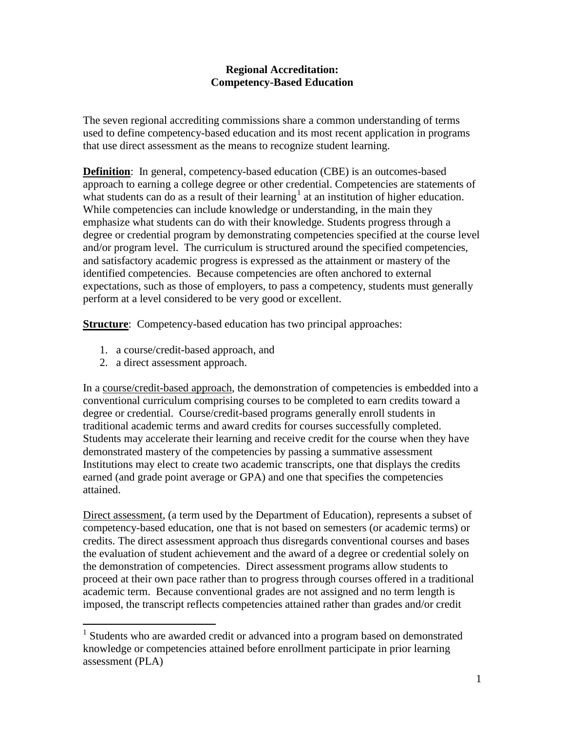## **Regional Accreditation: Competency-Based Education**

The seven regional accrediting commissions share a common understanding of terms used to define competency-based education and its most recent application in programs that use direct assessment as the means to recognize student learning.

**Definition**: In general, competency-based education (CBE) is an outcomes-based approach to earning a college degree or other credential. Competencies are statements of what students can do as a result of their learning<sup>[1](#page-0-0)</sup> at an institution of higher education. While competencies can include knowledge or understanding, in the main they emphasize what students can do with their knowledge. Students progress through a degree or credential program by demonstrating competencies specified at the course level and/or program level. The curriculum is structured around the specified competencies, and satisfactory academic progress is expressed as the attainment or mastery of the identified competencies. Because competencies are often anchored to external expectations, such as those of employers, to pass a competency, students must generally perform at a level considered to be very good or excellent.

**Structure**: Competency-based education has two principal approaches:

- 1. a course/credit-based approach, and
- 2. a direct assessment approach.

In a course/credit-based approach, the demonstration of competencies is embedded into a conventional curriculum comprising courses to be completed to earn credits toward a degree or credential. Course/credit-based programs generally enroll students in traditional academic terms and award credits for courses successfully completed. Students may accelerate their learning and receive credit for the course when they have demonstrated mastery of the competencies by passing a summative assessment Institutions may elect to create two academic transcripts, one that displays the credits earned (and grade point average or GPA) and one that specifies the competencies attained.

Direct assessment, (a term used by the Department of Education), represents a subset of competency-based education, one that is not based on semesters (or academic terms) or credits. The direct assessment approach thus disregards conventional courses and bases the evaluation of student achievement and the award of a degree or credential solely on the demonstration of competencies. Direct assessment programs allow students to proceed at their own pace rather than to progress through courses offered in a traditional academic term. Because conventional grades are not assigned and no term length is imposed, the transcript reflects competencies attained rather than grades and/or credit

<span id="page-0-0"></span><sup>&</sup>lt;sup>1</sup> Students who are awarded credit or advanced into a program based on demonstrated knowledge or competencies attained before enrollment participate in prior learning assessment (PLA)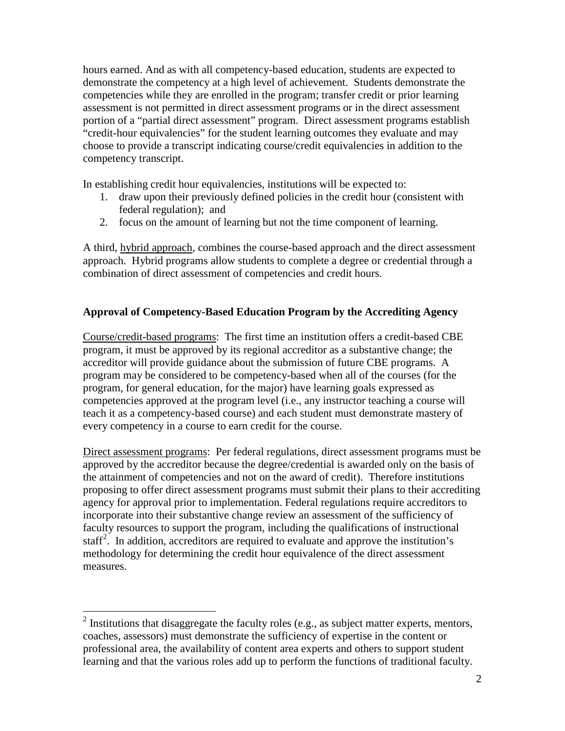hours earned. And as with all competency-based education, students are expected to demonstrate the competency at a high level of achievement. Students demonstrate the competencies while they are enrolled in the program; transfer credit or prior learning assessment is not permitted in direct assessment programs or in the direct assessment portion of a "partial direct assessment" program. Direct assessment programs establish "credit-hour equivalencies" for the student learning outcomes they evaluate and may choose to provide a transcript indicating course/credit equivalencies in addition to the competency transcript.

In establishing credit hour equivalencies, institutions will be expected to:

- 1. draw upon their previously defined policies in the credit hour (consistent with federal regulation); and
- 2. focus on the amount of learning but not the time component of learning.

A third, hybrid approach, combines the course-based approach and the direct assessment approach. Hybrid programs allow students to complete a degree or credential through a combination of direct assessment of competencies and credit hours.

## **Approval of Competency-Based Education Program by the Accrediting Agency**

Course/credit-based programs: The first time an institution offers a credit-based CBE program, it must be approved by its regional accreditor as a substantive change; the accreditor will provide guidance about the submission of future CBE programs. A program may be considered to be competency-based when all of the courses (for the program, for general education, for the major) have learning goals expressed as competencies approved at the program level (i.e., any instructor teaching a course will teach it as a competency-based course) and each student must demonstrate mastery of every competency in a course to earn credit for the course.

Direct assessment programs: Per federal regulations, direct assessment programs must be approved by the accreditor because the degree/credential is awarded only on the basis of the attainment of competencies and not on the award of credit). Therefore institutions proposing to offer direct assessment programs must submit their plans to their accrediting agency for approval prior to implementation. Federal regulations require accreditors to incorporate into their substantive change review an assessment of the sufficiency of faculty resources to support the program, including the qualifications of instructional staff<sup>[2](#page-1-0)</sup>. In addition, accreditors are required to evaluate and approve the institution's methodology for determining the credit hour equivalence of the direct assessment measures.

<span id="page-1-0"></span> $2$  Institutions that disaggregate the faculty roles (e.g., as subject matter experts, mentors, coaches, assessors) must demonstrate the sufficiency of expertise in the content or professional area, the availability of content area experts and others to support student learning and that the various roles add up to perform the functions of traditional faculty.